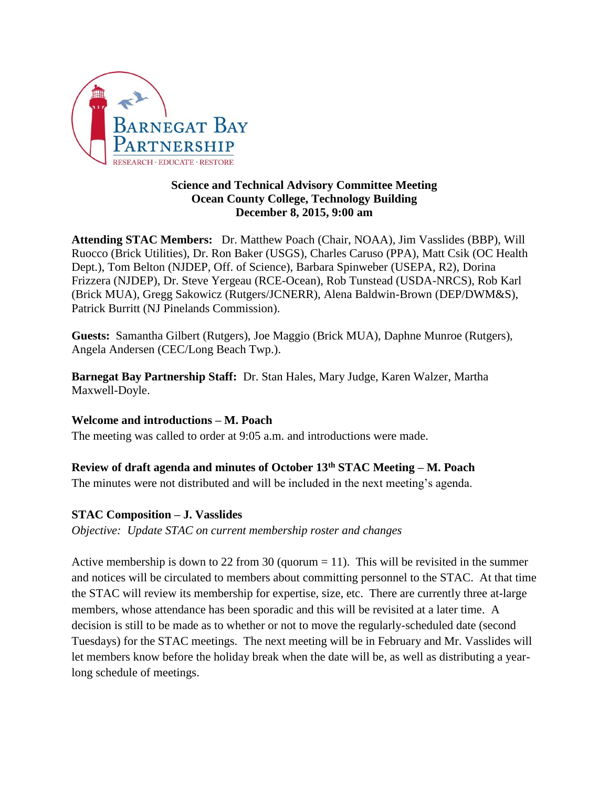

### **Science and Technical Advisory Committee Meeting Ocean County College, Technology Building December 8, 2015, 9:00 am**

**Attending STAC Members:** Dr. Matthew Poach (Chair, NOAA), Jim Vasslides (BBP), Will Ruocco (Brick Utilities), Dr. Ron Baker (USGS), Charles Caruso (PPA), Matt Csik (OC Health Dept.), Tom Belton (NJDEP, Off. of Science), Barbara Spinweber (USEPA, R2), Dorina Frizzera (NJDEP), Dr. Steve Yergeau (RCE-Ocean), Rob Tunstead (USDA-NRCS), Rob Karl (Brick MUA), Gregg Sakowicz (Rutgers/JCNERR), Alena Baldwin-Brown (DEP/DWM&S), Patrick Burritt (NJ Pinelands Commission).

**Guests:** Samantha Gilbert (Rutgers), Joe Maggio (Brick MUA), Daphne Munroe (Rutgers), Angela Andersen (CEC/Long Beach Twp.).

**Barnegat Bay Partnership Staff:** Dr. Stan Hales, Mary Judge, Karen Walzer, Martha Maxwell-Doyle.

# **Welcome and introductions – M. Poach**

The meeting was called to order at 9:05 a.m. and introductions were made.

# **Review of draft agenda and minutes of October 13th STAC Meeting – M. Poach**

The minutes were not distributed and will be included in the next meeting's agenda.

# **STAC Composition – J. Vasslides**

*Objective: Update STAC on current membership roster and changes*

Active membership is down to 22 from 30 (quorum  $= 11$ ). This will be revisited in the summer and notices will be circulated to members about committing personnel to the STAC. At that time the STAC will review its membership for expertise, size, etc. There are currently three at-large members, whose attendance has been sporadic and this will be revisited at a later time. A decision is still to be made as to whether or not to move the regularly-scheduled date (second Tuesdays) for the STAC meetings. The next meeting will be in February and Mr. Vasslides will let members know before the holiday break when the date will be, as well as distributing a yearlong schedule of meetings.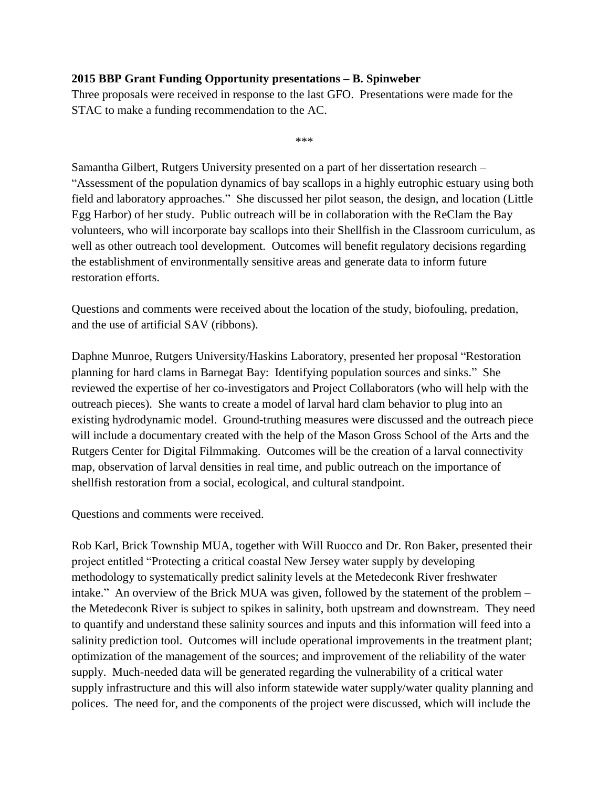# **2015 BBP Grant Funding Opportunity presentations – B. Spinweber**

Three proposals were received in response to the last GFO. Presentations were made for the STAC to make a funding recommendation to the AC.

\*\*\*

Samantha Gilbert, Rutgers University presented on a part of her dissertation research – "Assessment of the population dynamics of bay scallops in a highly eutrophic estuary using both field and laboratory approaches." She discussed her pilot season, the design, and location (Little Egg Harbor) of her study. Public outreach will be in collaboration with the ReClam the Bay volunteers, who will incorporate bay scallops into their Shellfish in the Classroom curriculum, as well as other outreach tool development. Outcomes will benefit regulatory decisions regarding the establishment of environmentally sensitive areas and generate data to inform future restoration efforts.

Questions and comments were received about the location of the study, biofouling, predation, and the use of artificial SAV (ribbons).

Daphne Munroe, Rutgers University/Haskins Laboratory, presented her proposal "Restoration planning for hard clams in Barnegat Bay: Identifying population sources and sinks." She reviewed the expertise of her co-investigators and Project Collaborators (who will help with the outreach pieces). She wants to create a model of larval hard clam behavior to plug into an existing hydrodynamic model. Ground-truthing measures were discussed and the outreach piece will include a documentary created with the help of the Mason Gross School of the Arts and the Rutgers Center for Digital Filmmaking. Outcomes will be the creation of a larval connectivity map, observation of larval densities in real time, and public outreach on the importance of shellfish restoration from a social, ecological, and cultural standpoint.

Questions and comments were received.

Rob Karl, Brick Township MUA, together with Will Ruocco and Dr. Ron Baker, presented their project entitled "Protecting a critical coastal New Jersey water supply by developing methodology to systematically predict salinity levels at the Metedeconk River freshwater intake." An overview of the Brick MUA was given, followed by the statement of the problem – the Metedeconk River is subject to spikes in salinity, both upstream and downstream. They need to quantify and understand these salinity sources and inputs and this information will feed into a salinity prediction tool. Outcomes will include operational improvements in the treatment plant; optimization of the management of the sources; and improvement of the reliability of the water supply. Much-needed data will be generated regarding the vulnerability of a critical water supply infrastructure and this will also inform statewide water supply/water quality planning and polices. The need for, and the components of the project were discussed, which will include the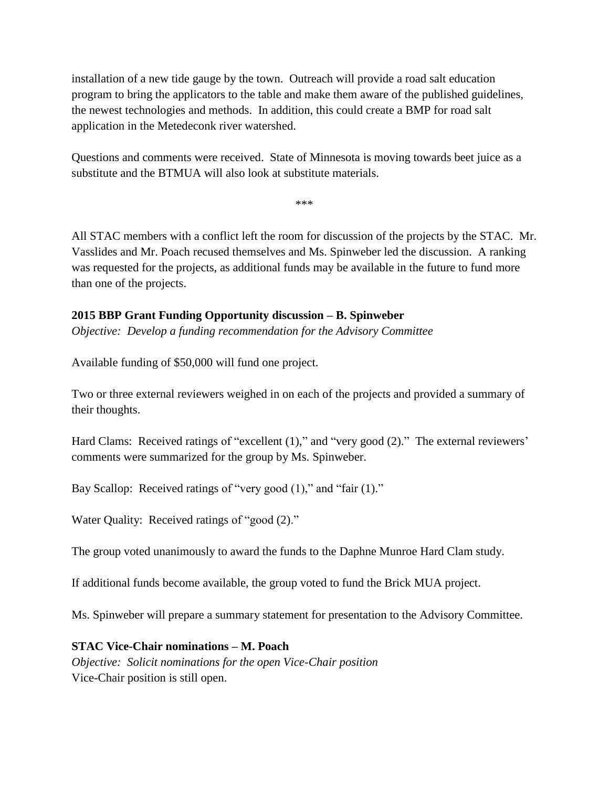installation of a new tide gauge by the town. Outreach will provide a road salt education program to bring the applicators to the table and make them aware of the published guidelines, the newest technologies and methods. In addition, this could create a BMP for road salt application in the Metedeconk river watershed.

Questions and comments were received. State of Minnesota is moving towards beet juice as a substitute and the BTMUA will also look at substitute materials.

\*\*\*

All STAC members with a conflict left the room for discussion of the projects by the STAC. Mr. Vasslides and Mr. Poach recused themselves and Ms. Spinweber led the discussion. A ranking was requested for the projects, as additional funds may be available in the future to fund more than one of the projects.

#### **2015 BBP Grant Funding Opportunity discussion – B. Spinweber**

*Objective: Develop a funding recommendation for the Advisory Committee*

Available funding of \$50,000 will fund one project.

Two or three external reviewers weighed in on each of the projects and provided a summary of their thoughts.

Hard Clams: Received ratings of "excellent (1)," and "very good (2)." The external reviewers' comments were summarized for the group by Ms. Spinweber.

Bay Scallop: Received ratings of "very good (1)," and "fair (1)."

Water Quality: Received ratings of "good  $(2)$ ."

The group voted unanimously to award the funds to the Daphne Munroe Hard Clam study.

If additional funds become available, the group voted to fund the Brick MUA project.

Ms. Spinweber will prepare a summary statement for presentation to the Advisory Committee.

#### **STAC Vice-Chair nominations – M. Poach**

*Objective: Solicit nominations for the open Vice-Chair position* Vice-Chair position is still open.